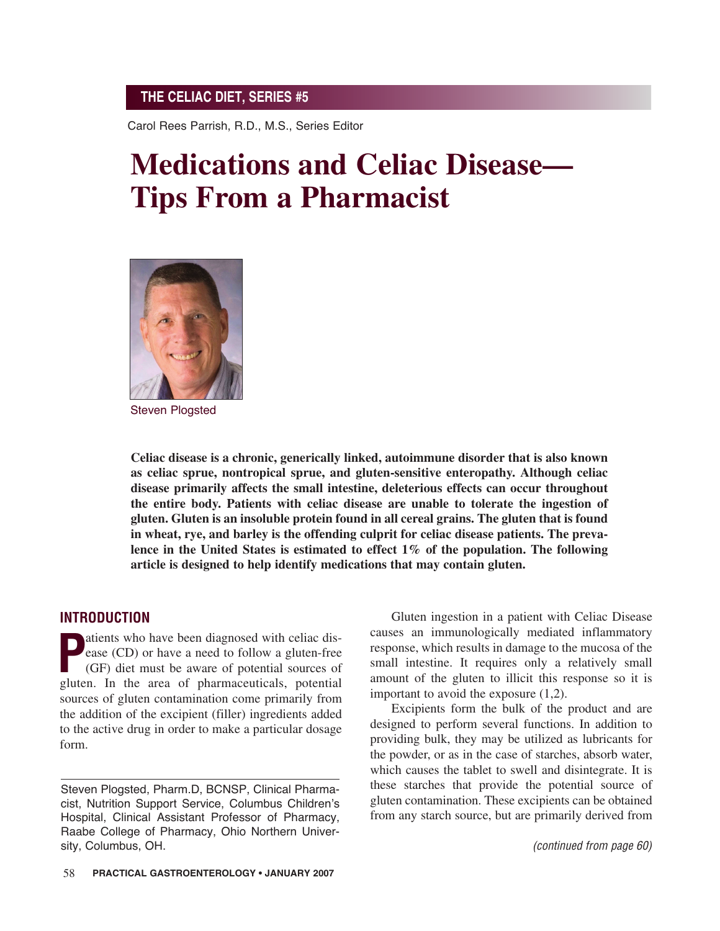Carol Rees Parrish, R.D., M.S., Series Editor

# **Medications and Celiac Disease— Tips From a Pharmacist**



Steven Plogsted

**Celiac disease is a chronic, generically linked, autoimmune disorder that is also known as celiac sprue, nontropical sprue, and gluten-sensitive enteropathy. Although celiac disease primarily affects the small intestine, deleterious effects can occur throughout the entire body. Patients with celiac disease are unable to tolerate the ingestion of gluten. Gluten is an insoluble protein found in all cereal grains. The gluten that is found in wheat, rye, and barley is the offending culprit for celiac disease patients. The prevalence in the United States is estimated to effect 1% of the population. The following article is designed to help identify medications that may contain gluten.**

#### **INTRODUCTION**

**P**atients who have been diagnosed with celiac dis-<br>
ease (CD) or have a need to follow a gluten-free<br>
(GF) diet must be aware of potential sources of<br>
gluten. In the area of pharmaceuticals, potential atients who have been diagnosed with celiac disease (CD) or have a need to follow a gluten-free (GF) diet must be aware of potential sources of sources of gluten contamination come primarily from the addition of the excipient (filler) ingredients added to the active drug in order to make a particular dosage form.

Gluten ingestion in a patient with Celiac Disease causes an immunologically mediated inflammatory response, which results in damage to the mucosa of the small intestine. It requires only a relatively small amount of the gluten to illicit this response so it is important to avoid the exposure (1,2).

Excipients form the bulk of the product and are designed to perform several functions. In addition to providing bulk, they may be utilized as lubricants for the powder, or as in the case of starches, absorb water, which causes the tablet to swell and disintegrate. It is these starches that provide the potential source of gluten contamination. These excipients can be obtained from any starch source, but are primarily derived from

Steven Plogsted, Pharm.D, BCNSP, Clinical Pharmacist, Nutrition Support Service, Columbus Children's Hospital, Clinical Assistant Professor of Pharmacy, Raabe College of Pharmacy, Ohio Northern University, Columbus, OH.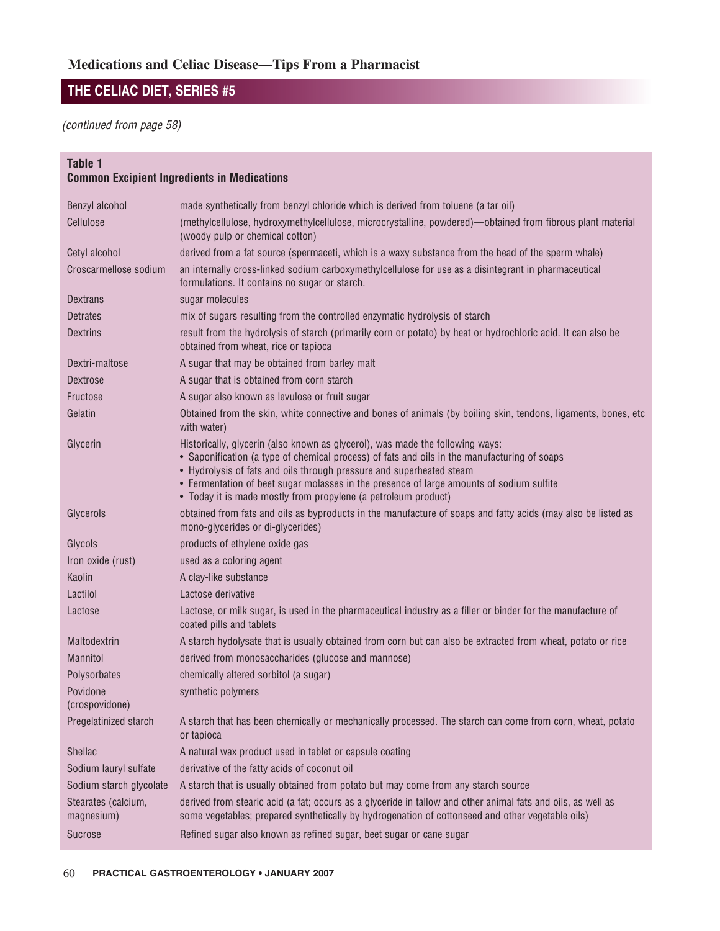(continued from page 58)

## **Table 1**

## **Common Excipient Ingredients in Medications**

| Benzyl alcohol                    | made synthetically from benzyl chloride which is derived from toluene (a tar oil)                                                                                                                                                                                                                                                                                                                                   |  |
|-----------------------------------|---------------------------------------------------------------------------------------------------------------------------------------------------------------------------------------------------------------------------------------------------------------------------------------------------------------------------------------------------------------------------------------------------------------------|--|
| Cellulose                         | (methylcellulose, hydroxymethylcellulose, microcrystalline, powdered)—obtained from fibrous plant material<br>(woody pulp or chemical cotton)                                                                                                                                                                                                                                                                       |  |
| Cetyl alcohol                     | derived from a fat source (spermaceti, which is a waxy substance from the head of the sperm whale)                                                                                                                                                                                                                                                                                                                  |  |
| Croscarmellose sodium             | an internally cross-linked sodium carboxymethylcellulose for use as a disintegrant in pharmaceutical<br>formulations. It contains no sugar or starch.                                                                                                                                                                                                                                                               |  |
| Dextrans                          | sugar molecules                                                                                                                                                                                                                                                                                                                                                                                                     |  |
| <b>Detrates</b>                   | mix of sugars resulting from the controlled enzymatic hydrolysis of starch                                                                                                                                                                                                                                                                                                                                          |  |
| <b>Dextrins</b>                   | result from the hydrolysis of starch (primarily corn or potato) by heat or hydrochloric acid. It can also be<br>obtained from wheat, rice or tapioca                                                                                                                                                                                                                                                                |  |
| Dextri-maltose                    | A sugar that may be obtained from barley malt                                                                                                                                                                                                                                                                                                                                                                       |  |
| <b>Dextrose</b>                   | A sugar that is obtained from corn starch                                                                                                                                                                                                                                                                                                                                                                           |  |
| Fructose                          | A sugar also known as levulose or fruit sugar                                                                                                                                                                                                                                                                                                                                                                       |  |
| Gelatin                           | Obtained from the skin, white connective and bones of animals (by boiling skin, tendons, ligaments, bones, etc<br>with water)                                                                                                                                                                                                                                                                                       |  |
| Glycerin                          | Historically, glycerin (also known as glycerol), was made the following ways:<br>• Saponification (a type of chemical process) of fats and oils in the manufacturing of soaps<br>• Hydrolysis of fats and oils through pressure and superheated steam<br>• Fermentation of beet sugar molasses in the presence of large amounts of sodium sulfite<br>• Today it is made mostly from propylene (a petroleum product) |  |
| Glycerols                         | obtained from fats and oils as byproducts in the manufacture of soaps and fatty acids (may also be listed as<br>mono-glycerides or di-glycerides)                                                                                                                                                                                                                                                                   |  |
| Glycols                           | products of ethylene oxide gas                                                                                                                                                                                                                                                                                                                                                                                      |  |
| Iron oxide (rust)                 | used as a coloring agent                                                                                                                                                                                                                                                                                                                                                                                            |  |
| Kaolin                            | A clay-like substance                                                                                                                                                                                                                                                                                                                                                                                               |  |
| Lactilol                          | Lactose derivative                                                                                                                                                                                                                                                                                                                                                                                                  |  |
| Lactose                           | Lactose, or milk sugar, is used in the pharmaceutical industry as a filler or binder for the manufacture of<br>coated pills and tablets                                                                                                                                                                                                                                                                             |  |
| Maltodextrin                      | A starch hydolysate that is usually obtained from corn but can also be extracted from wheat, potato or rice                                                                                                                                                                                                                                                                                                         |  |
| <b>Mannitol</b>                   | derived from monosaccharides (glucose and mannose)                                                                                                                                                                                                                                                                                                                                                                  |  |
| Polysorbates                      | chemically altered sorbitol (a sugar)                                                                                                                                                                                                                                                                                                                                                                               |  |
| Povidone<br>(crospovidone)        | synthetic polymers                                                                                                                                                                                                                                                                                                                                                                                                  |  |
| Pregelatinized starch             | A starch that has been chemically or mechanically processed. The starch can come from corn, wheat, potato<br>or tapioca                                                                                                                                                                                                                                                                                             |  |
| Shellac                           | A natural wax product used in tablet or capsule coating                                                                                                                                                                                                                                                                                                                                                             |  |
| Sodium lauryl sulfate             | derivative of the fatty acids of coconut oil                                                                                                                                                                                                                                                                                                                                                                        |  |
| Sodium starch glycolate           | A starch that is usually obtained from potato but may come from any starch source                                                                                                                                                                                                                                                                                                                                   |  |
| Stearates (calcium,<br>magnesium) | derived from stearic acid (a fat; occurs as a glyceride in tallow and other animal fats and oils, as well as<br>some vegetables; prepared synthetically by hydrogenation of cottonseed and other vegetable oils)                                                                                                                                                                                                    |  |
| Sucrose                           | Refined sugar also known as refined sugar, beet sugar or cane sugar                                                                                                                                                                                                                                                                                                                                                 |  |
|                                   |                                                                                                                                                                                                                                                                                                                                                                                                                     |  |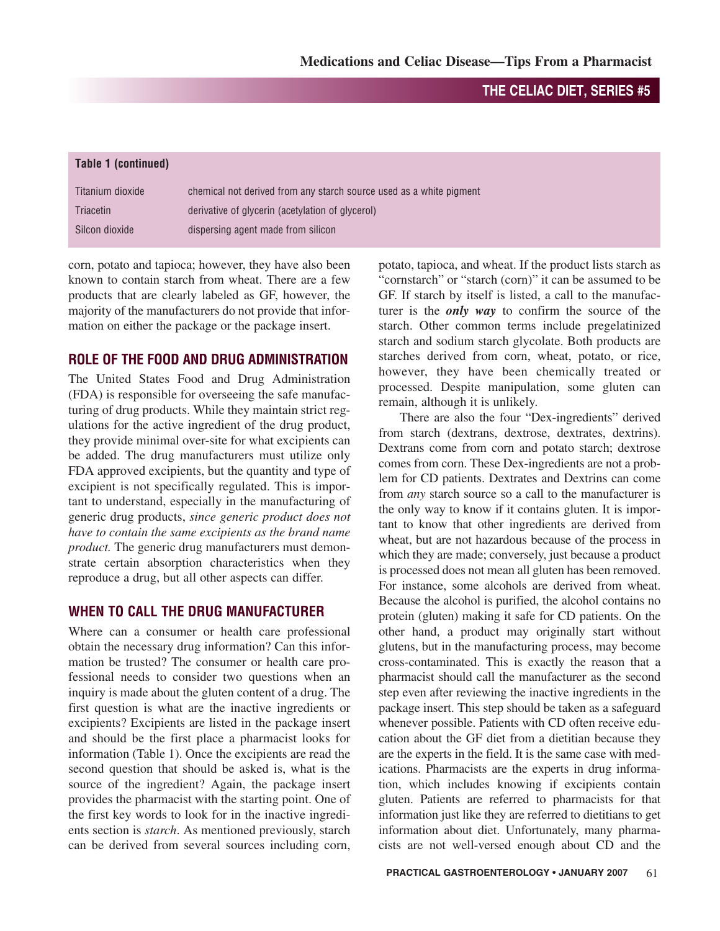| chemical not derived from any starch source used as a white pigment |
|---------------------------------------------------------------------|
| derivative of glycerin (acetylation of glycerol)                    |
| dispersing agent made from silicon                                  |
|                                                                     |

corn, potato and tapioca; however, they have also been known to contain starch from wheat. There are a few products that are clearly labeled as GF, however, the majority of the manufacturers do not provide that information on either the package or the package insert.

## **ROLE OF THE FOOD AND DRUG ADMINISTRATION**

The United States Food and Drug Administration (FDA) is responsible for overseeing the safe manufacturing of drug products. While they maintain strict regulations for the active ingredient of the drug product, they provide minimal over-site for what excipients can be added. The drug manufacturers must utilize only FDA approved excipients, but the quantity and type of excipient is not specifically regulated. This is important to understand, especially in the manufacturing of generic drug products, *since generic product does not have to contain the same excipients as the brand name product.* The generic drug manufacturers must demonstrate certain absorption characteristics when they reproduce a drug, but all other aspects can differ.

## **WHEN TO CALL THE DRUG MANUFACTURER**

Where can a consumer or health care professional obtain the necessary drug information? Can this information be trusted? The consumer or health care professional needs to consider two questions when an inquiry is made about the gluten content of a drug. The first question is what are the inactive ingredients or excipients? Excipients are listed in the package insert and should be the first place a pharmacist looks for information (Table 1). Once the excipients are read the second question that should be asked is, what is the source of the ingredient? Again, the package insert provides the pharmacist with the starting point. One of the first key words to look for in the inactive ingredients section is *starch*. As mentioned previously, starch can be derived from several sources including corn,

potato, tapioca, and wheat. If the product lists starch as "cornstarch" or "starch (corn)" it can be assumed to be GF. If starch by itself is listed, a call to the manufacturer is the *only way* to confirm the source of the starch. Other common terms include pregelatinized starch and sodium starch glycolate. Both products are starches derived from corn, wheat, potato, or rice, however, they have been chemically treated or processed. Despite manipulation, some gluten can remain, although it is unlikely.

There are also the four "Dex-ingredients" derived from starch (dextrans, dextrose, dextrates, dextrins). Dextrans come from corn and potato starch; dextrose comes from corn. These Dex-ingredients are not a problem for CD patients. Dextrates and Dextrins can come from *any* starch source so a call to the manufacturer is the only way to know if it contains gluten. It is important to know that other ingredients are derived from wheat, but are not hazardous because of the process in which they are made; conversely, just because a product is processed does not mean all gluten has been removed. For instance, some alcohols are derived from wheat. Because the alcohol is purified, the alcohol contains no protein (gluten) making it safe for CD patients. On the other hand, a product may originally start without glutens, but in the manufacturing process, may become cross-contaminated. This is exactly the reason that a pharmacist should call the manufacturer as the second step even after reviewing the inactive ingredients in the package insert. This step should be taken as a safeguard whenever possible. Patients with CD often receive education about the GF diet from a dietitian because they are the experts in the field. It is the same case with medications. Pharmacists are the experts in drug information, which includes knowing if excipients contain gluten. Patients are referred to pharmacists for that information just like they are referred to dietitians to get information about diet. Unfortunately, many pharmacists are not well-versed enough about CD and the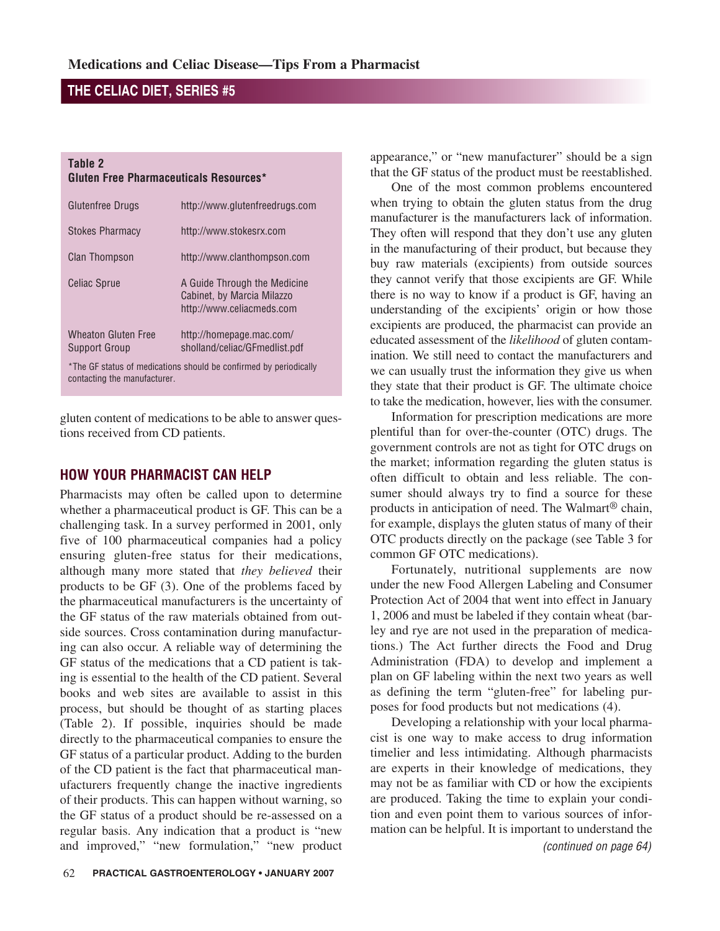#### **Table 2 Gluten Free Pharmaceuticals Resources\***

| Glutenfree Drugs                                                                                  | http://www.glutenfreedrugs.com                                                          |  |  |
|---------------------------------------------------------------------------------------------------|-----------------------------------------------------------------------------------------|--|--|
| <b>Stokes Pharmacy</b>                                                                            | http://www.stokesrx.com                                                                 |  |  |
| <b>Clan Thompson</b>                                                                              | http://www.clanthompson.com                                                             |  |  |
| <b>Celiac Sprue</b>                                                                               | A Guide Through the Medicine<br>Cabinet, by Marcia Milazzo<br>http://www.celiacmeds.com |  |  |
| Wheaton Gluten Free<br>Support Group                                                              | http://homepage.mac.com/<br>sholland/celiac/GFmedlist.pdf                               |  |  |
| *The GF status of medications should be confirmed by periodically<br>contacting the manufacturer. |                                                                                         |  |  |

gluten content of medications to be able to answer ques-

## **HOW YOUR PHARMACIST CAN HELP**

tions received from CD patients.

Pharmacists may often be called upon to determine whether a pharmaceutical product is GF. This can be a challenging task. In a survey performed in 2001, only five of 100 pharmaceutical companies had a policy ensuring gluten-free status for their medications, although many more stated that *they believed* their products to be GF (3). One of the problems faced by the pharmaceutical manufacturers is the uncertainty of the GF status of the raw materials obtained from outside sources. Cross contamination during manufacturing can also occur. A reliable way of determining the GF status of the medications that a CD patient is taking is essential to the health of the CD patient. Several books and web sites are available to assist in this process, but should be thought of as starting places (Table 2). If possible, inquiries should be made directly to the pharmaceutical companies to ensure the GF status of a particular product. Adding to the burden of the CD patient is the fact that pharmaceutical manufacturers frequently change the inactive ingredients of their products. This can happen without warning, so the GF status of a product should be re-assessed on a regular basis. Any indication that a product is "new and improved," "new formulation," "new product

appearance," or "new manufacturer" should be a sign that the GF status of the product must be reestablished.

One of the most common problems encountered when trying to obtain the gluten status from the drug manufacturer is the manufacturers lack of information. They often will respond that they don't use any gluten in the manufacturing of their product, but because they buy raw materials (excipients) from outside sources they cannot verify that those excipients are GF. While there is no way to know if a product is GF, having an understanding of the excipients' origin or how those excipients are produced, the pharmacist can provide an educated assessment of the *likelihood* of gluten contamination. We still need to contact the manufacturers and we can usually trust the information they give us when they state that their product is GF. The ultimate choice to take the medication, however, lies with the consumer.

Information for prescription medications are more plentiful than for over-the-counter (OTC) drugs. The government controls are not as tight for OTC drugs on the market; information regarding the gluten status is often difficult to obtain and less reliable. The consumer should always try to find a source for these products in anticipation of need. The Walmart® chain, for example, displays the gluten status of many of their OTC products directly on the package (see Table 3 for common GF OTC medications).

Fortunately, nutritional supplements are now under the new Food Allergen Labeling and Consumer Protection Act of 2004 that went into effect in January 1, 2006 and must be labeled if they contain wheat (barley and rye are not used in the preparation of medications.) The Act further directs the Food and Drug Administration (FDA) to develop and implement a plan on GF labeling within the next two years as well as defining the term "gluten-free" for labeling purposes for food products but not medications (4).

Developing a relationship with your local pharmacist is one way to make access to drug information timelier and less intimidating. Although pharmacists are experts in their knowledge of medications, they may not be as familiar with CD or how the excipients are produced. Taking the time to explain your condition and even point them to various sources of information can be helpful. It is important to understand the (continued on page 64)